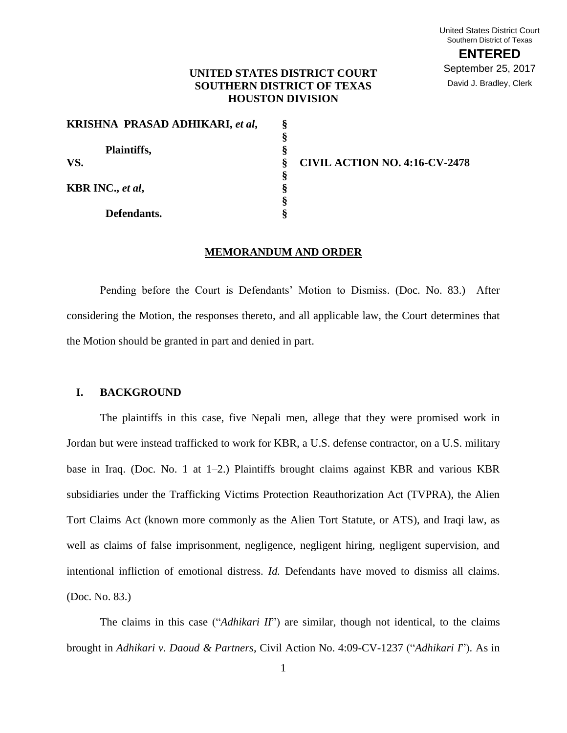## **UNITED STATES DISTRICT COURT SOUTHERN DISTRICT OF TEXAS HOUSTON DIVISION**

**§ § § § § § §**

| KRISHNA PRASAD ADHIKARI, et al, | ş |
|---------------------------------|---|
|                                 | ş |
| Plaintiffs,                     | ş |
| VS.<br>KBR INC., et al,         | ş |
|                                 | Ş |
|                                 |   |
|                                 | ş |
| Defendants.                     |   |

**VS. CIVIL ACTION NO. 4:16-CV-2478**

## **MEMORANDUM AND ORDER**

Pending before the Court is Defendants' Motion to Dismiss. (Doc. No. 83.) After considering the Motion, the responses thereto, and all applicable law, the Court determines that the Motion should be granted in part and denied in part.

## **I. BACKGROUND**

The plaintiffs in this case, five Nepali men, allege that they were promised work in Jordan but were instead trafficked to work for KBR, a U.S. defense contractor, on a U.S. military base in Iraq. (Doc. No. 1 at 1–2.) Plaintiffs brought claims against KBR and various KBR subsidiaries under the Trafficking Victims Protection Reauthorization Act (TVPRA), the Alien Tort Claims Act (known more commonly as the Alien Tort Statute, or ATS), and Iraqi law, as well as claims of false imprisonment, negligence, negligent hiring, negligent supervision, and intentional infliction of emotional distress. *Id.* Defendants have moved to dismiss all claims. (Doc. No. 83.)

The claims in this case ("*Adhikari II*") are similar, though not identical, to the claims brought in *Adhikari v. Daoud & Partners*, Civil Action No. 4:09-CV-1237 ("*Adhikari I*"). As in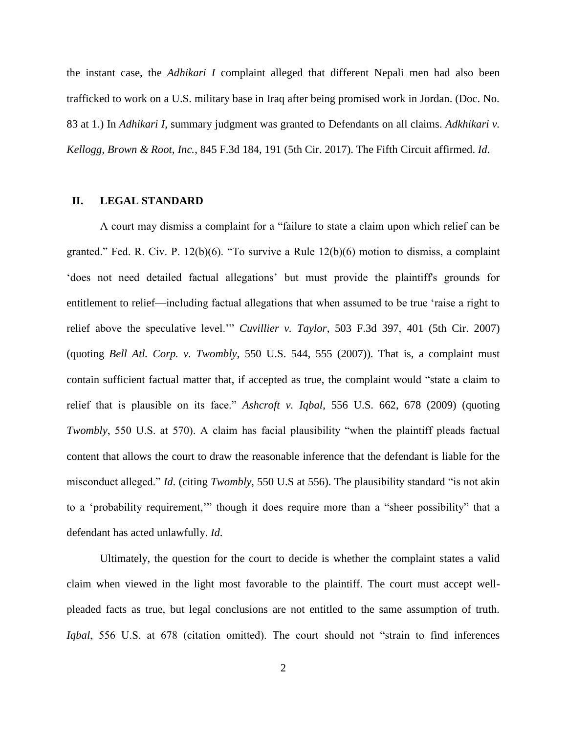the instant case, the *Adhikari I* complaint alleged that different Nepali men had also been trafficked to work on a U.S. military base in Iraq after being promised work in Jordan. (Doc. No. 83 at 1.) In *Adhikari I*, summary judgment was granted to Defendants on all claims. *Adkhikari v. Kellogg, Brown & Root, Inc.*, 845 F.3d 184, 191 (5th Cir. 2017). The Fifth Circuit affirmed. *Id*.

### **II. LEGAL STANDARD**

A court may dismiss a complaint for a "failure to state a claim upon which relief can be granted." Fed. R. Civ. P. 12(b)(6). "To survive a Rule 12(b)(6) motion to dismiss, a complaint 'does not need detailed factual allegations' but must provide the plaintiff's grounds for entitlement to relief—including factual allegations that when assumed to be true 'raise a right to relief above the speculative level.'" *Cuvillier v. Taylor*, 503 F.3d 397, 401 (5th Cir. 2007) (quoting *Bell Atl. Corp. v. Twombly*, 550 U.S. 544, 555 (2007)). That is, a complaint must contain sufficient factual matter that, if accepted as true, the complaint would "state a claim to relief that is plausible on its face." *Ashcroft v. Iqbal*, 556 U.S. 662, 678 (2009) (quoting *Twombly*, 550 U.S. at 570). A claim has facial plausibility "when the plaintiff pleads factual content that allows the court to draw the reasonable inference that the defendant is liable for the misconduct alleged." *Id*. (citing *Twombly*, 550 U.S at 556). The plausibility standard "is not akin to a 'probability requirement,'" though it does require more than a "sheer possibility" that a defendant has acted unlawfully. *Id*.

Ultimately, the question for the court to decide is whether the complaint states a valid claim when viewed in the light most favorable to the plaintiff. The court must accept wellpleaded facts as true, but legal conclusions are not entitled to the same assumption of truth. *Iqbal*, 556 U.S. at 678 (citation omitted). The court should not "strain to find inferences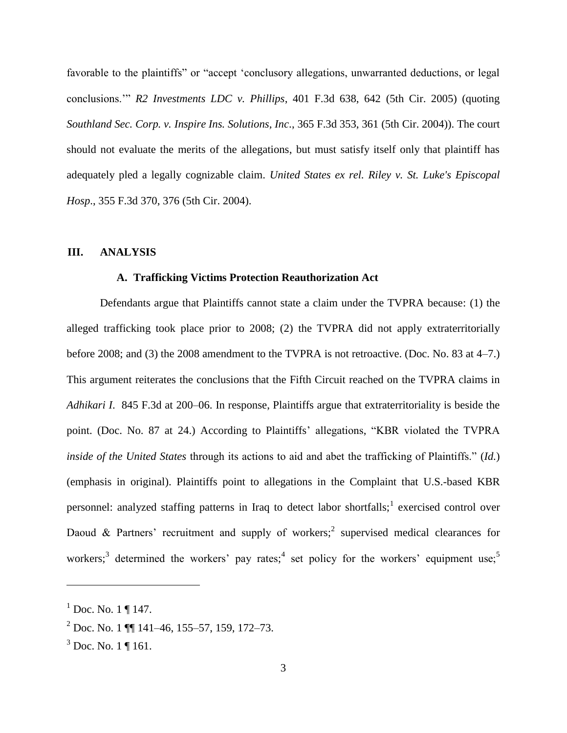favorable to the plaintiffs" or "accept 'conclusory allegations, unwarranted deductions, or legal conclusions.'" *R2 Investments LDC v. Phillips*, 401 F.3d 638, 642 (5th Cir. 2005) (quoting *Southland Sec. Corp. v. Inspire Ins. Solutions, Inc*., 365 F.3d 353, 361 (5th Cir. 2004)). The court should not evaluate the merits of the allegations, but must satisfy itself only that plaintiff has adequately pled a legally cognizable claim. *United States ex rel. Riley v. St. Luke's Episcopal Hosp*., 355 F.3d 370, 376 (5th Cir. 2004).

## **III. ANALYSIS**

# **A. Trafficking Victims Protection Reauthorization Act**

Defendants argue that Plaintiffs cannot state a claim under the TVPRA because: (1) the alleged trafficking took place prior to 2008; (2) the TVPRA did not apply extraterritorially before 2008; and (3) the 2008 amendment to the TVPRA is not retroactive. (Doc. No. 83 at 4–7.) This argument reiterates the conclusions that the Fifth Circuit reached on the TVPRA claims in *Adhikari I*. 845 F.3d at 200–06. In response, Plaintiffs argue that extraterritoriality is beside the point. (Doc. No. 87 at 24.) According to Plaintiffs' allegations, "KBR violated the TVPRA *inside of the United States* through its actions to aid and abet the trafficking of Plaintiffs." (*Id.*) (emphasis in original). Plaintiffs point to allegations in the Complaint that U.S.-based KBR personnel: analyzed staffing patterns in Iraq to detect labor shortfalls; exercised control over Daoud & Partners' recruitment and supply of workers;<sup>2</sup> supervised medical clearances for workers;<sup>3</sup> determined the workers' pay rates;<sup>4</sup> set policy for the workers' equipment use;<sup>5</sup>

 $1^{1}$  Doc. No. 1 ¶ 147.

 $^{2}$  Doc. No. 1  $\P$  141–46, 155–57, 159, 172–73.

 $3$  Doc. No. 1 ¶ 161.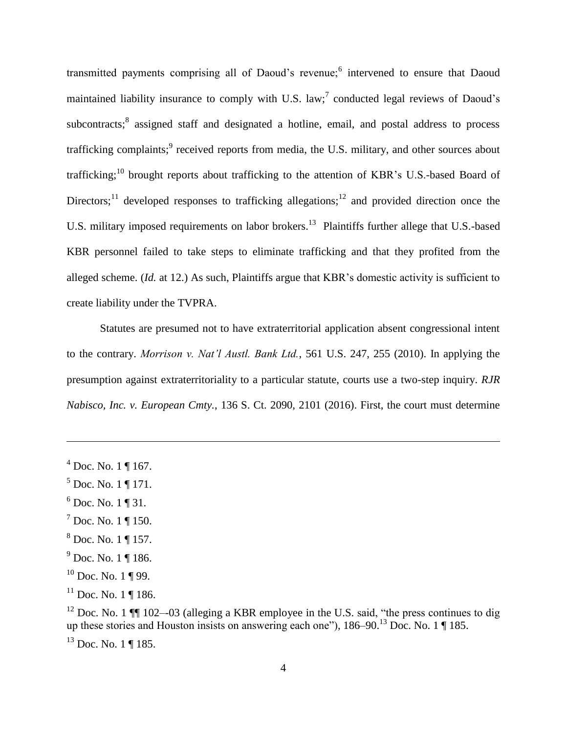transmitted payments comprising all of Daoud's revenue;<sup>6</sup> intervened to ensure that Daoud maintained liability insurance to comply with U.S. law;<sup>7</sup> conducted legal reviews of Daoud's subcontracts;<sup>8</sup> assigned staff and designated a hotline, email, and postal address to process trafficking complaints;<sup>9</sup> received reports from media, the U.S. military, and other sources about trafficking;<sup>10</sup> brought reports about trafficking to the attention of KBR's U.S.-based Board of Directors;<sup>11</sup> developed responses to trafficking allegations;<sup>12</sup> and provided direction once the U.S. military imposed requirements on labor brokers.<sup>13</sup> Plaintiffs further allege that U.S.-based KBR personnel failed to take steps to eliminate trafficking and that they profited from the alleged scheme. (*Id.* at 12.) As such, Plaintiffs argue that KBR's domestic activity is sufficient to create liability under the TVPRA.

Statutes are presumed not to have extraterritorial application absent congressional intent to the contrary. *Morrison v. Nat'l Austl. Bank Ltd.*, 561 U.S. 247, 255 (2010). In applying the presumption against extraterritoriality to a particular statute, courts use a two-step inquiry. *RJR Nabisco, Inc. v. European Cmty.*, 136 S. Ct. 2090, 2101 (2016). First, the court must determine

 $\overline{a}$ 

- $6$  Doc. No. 1 ¶ 31.
- $<sup>7</sup>$  Doc. No. 1 ¶ 150.</sup>
- <sup>8</sup> Doc. No. 1 ¶ 157.
- $^{9}$  Doc. No. 1 ¶ 186.
- $10$  Doc. No. 1 ¶ 99.
- $11$  Doc. No. 1 ¶ 186.

<sup>12</sup> Doc. No. 1  $\P$  102–-03 (alleging a KBR employee in the U.S. said, "the press continues to dig up these stories and Houston insists on answering each one"), 186–90.<sup>13</sup> Doc. No. 1 ¶ 185.

 $13$  Doc. No. 1 | 185.

 $^{4}$  Doc. No. 1 ¶ 167.

 $5$  Doc. No. 1 ¶ 171.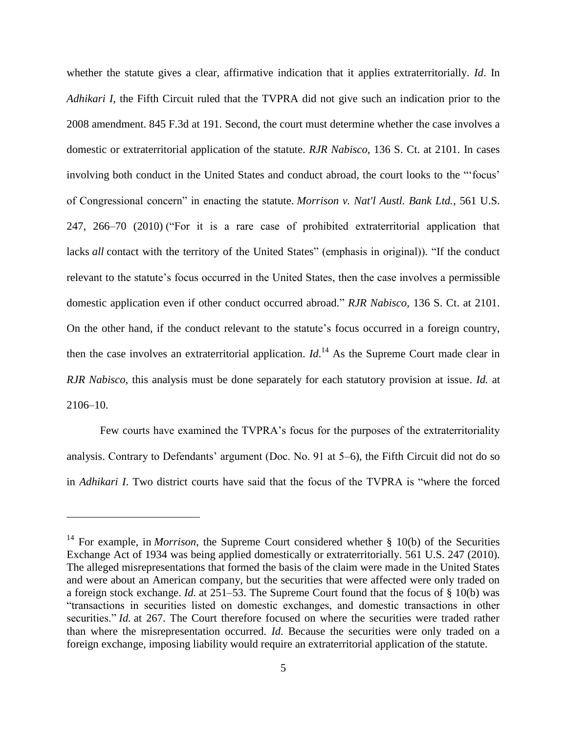whether the statute gives a clear, affirmative indication that it applies extraterritorially. *Id*. In *Adhikari I*, the Fifth Circuit ruled that the TVPRA did not give such an indication prior to the 2008 amendment. 845 F.3d at 191. Second, the court must determine whether the case involves a domestic or extraterritorial application of the statute. *RJR Nabisco*, 136 S. Ct. at 2101. In cases involving both conduct in the United States and conduct abroad, the court looks to the "'focus' of Congressional concern" in enacting the statute. *Morrison v. Nat'l Austl. Bank Ltd.*, 561 U.S. 247, 266–70 (2010) ("For it is a rare case of prohibited extraterritorial application that lacks *all* contact with the territory of the United States" (emphasis in original)). "If the conduct relevant to the statute's focus occurred in the United States, then the case involves a permissible domestic application even if other conduct occurred abroad." *RJR Nabisco*, 136 S. Ct. at 2101. On the other hand, if the conduct relevant to the statute's focus occurred in a foreign country, then the case involves an extraterritorial application.  $Id$ <sup>14</sup> As the Supreme Court made clear in *RJR Nabisco*, this analysis must be done separately for each statutory provision at issue. *Id.* at 2106–10.

Few courts have examined the TVPRA's focus for the purposes of the extraterritoriality analysis. Contrary to Defendants' argument (Doc. No. 91 at 5–6), the Fifth Circuit did not do so in *Adhikari I*. Two district courts have said that the focus of the TVPRA is "where the forced

<sup>&</sup>lt;sup>14</sup> For example, in *Morrison*, the Supreme Court considered whether § 10(b) of the Securities Exchange Act of 1934 was being applied domestically or extraterritorially. 561 U.S. 247 (2010). The alleged misrepresentations that formed the basis of the claim were made in the United States and were about an American company, but the securities that were affected were only traded on a foreign stock exchange. *Id.* at 251–53. The Supreme Court found that the focus of § 10(b) was "transactions in securities listed on domestic exchanges, and domestic transactions in other securities." *Id.* at 267. The Court therefore focused on where the securities were traded rather than where the misrepresentation occurred. *Id*. Because the securities were only traded on a foreign exchange, imposing liability would require an extraterritorial application of the statute.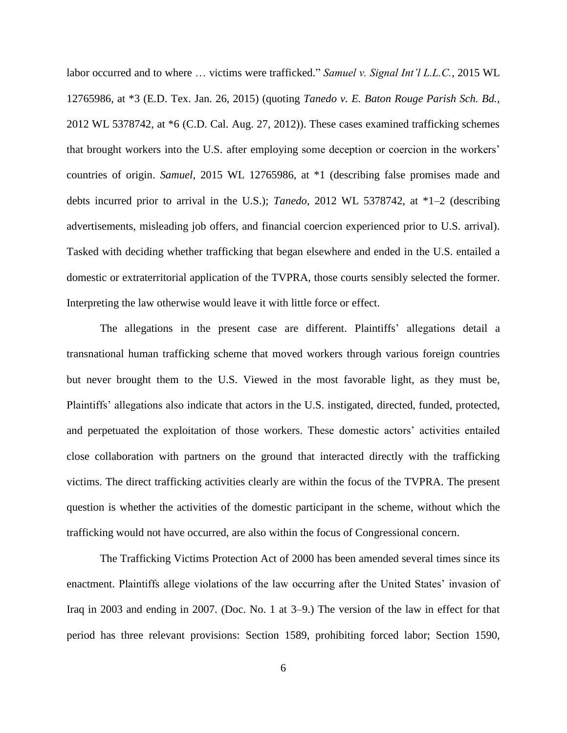labor occurred and to where … victims were trafficked." *Samuel v. Signal Int'l L.L.C.*, 2015 WL 12765986, at \*3 (E.D. Tex. Jan. 26, 2015) (quoting *Tanedo v. E. Baton Rouge Parish Sch. Bd.*, 2012 WL 5378742, at \*6 (C.D. Cal. Aug. 27, 2012)). These cases examined trafficking schemes that brought workers into the U.S. after employing some deception or coercion in the workers' countries of origin. *Samuel*, 2015 WL 12765986, at \*1 (describing false promises made and debts incurred prior to arrival in the U.S.); *Tanedo*, 2012 WL 5378742, at \*1–2 (describing advertisements, misleading job offers, and financial coercion experienced prior to U.S. arrival). Tasked with deciding whether trafficking that began elsewhere and ended in the U.S. entailed a domestic or extraterritorial application of the TVPRA, those courts sensibly selected the former. Interpreting the law otherwise would leave it with little force or effect.

The allegations in the present case are different. Plaintiffs' allegations detail a transnational human trafficking scheme that moved workers through various foreign countries but never brought them to the U.S. Viewed in the most favorable light, as they must be, Plaintiffs' allegations also indicate that actors in the U.S. instigated, directed, funded, protected, and perpetuated the exploitation of those workers. These domestic actors' activities entailed close collaboration with partners on the ground that interacted directly with the trafficking victims. The direct trafficking activities clearly are within the focus of the TVPRA. The present question is whether the activities of the domestic participant in the scheme, without which the trafficking would not have occurred, are also within the focus of Congressional concern.

The Trafficking Victims Protection Act of 2000 has been amended several times since its enactment. Plaintiffs allege violations of the law occurring after the United States' invasion of Iraq in 2003 and ending in 2007. (Doc. No. 1 at 3–9.) The version of the law in effect for that period has three relevant provisions: Section 1589, prohibiting forced labor; Section 1590,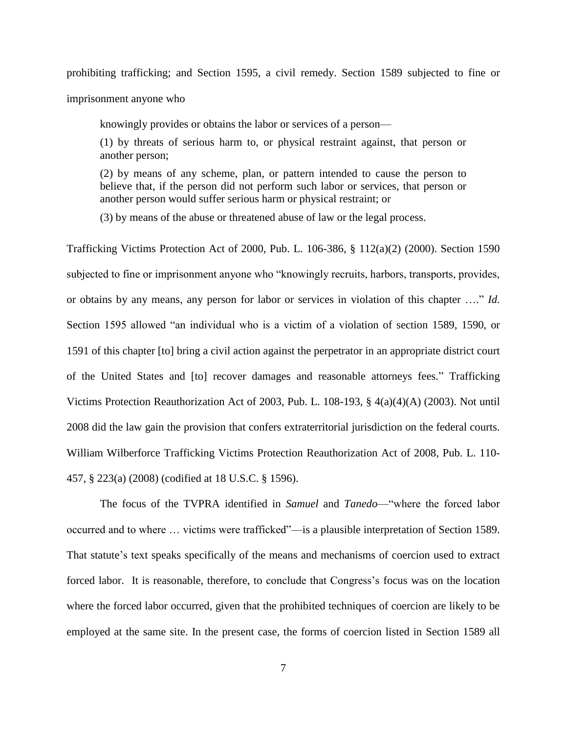prohibiting trafficking; and Section 1595, a civil remedy. Section 1589 subjected to fine or

imprisonment anyone who

knowingly provides or obtains the labor or services of a person—

(1) by threats of serious harm to, or physical restraint against, that person or another person;

(2) by means of any scheme, plan, or pattern intended to cause the person to believe that, if the person did not perform such labor or services, that person or another person would suffer serious harm or physical restraint; or

(3) by means of the abuse or threatened abuse of law or the legal process.

Trafficking Victims Protection Act of 2000, Pub. L. 106-386, § 112(a)(2) (2000). Section 1590 subjected to fine or imprisonment anyone who "knowingly recruits, harbors, transports, provides, or obtains by any means, any person for labor or services in violation of this chapter …." *Id.* Section 1595 allowed "an individual who is a victim of a violation of section 1589, 1590, or 1591 of this chapter [to] bring a civil action against the perpetrator in an appropriate district court of the United States and [to] recover damages and reasonable attorneys fees." Trafficking Victims Protection Reauthorization Act of 2003, Pub. L. 108-193, § 4(a)(4)(A) (2003). Not until 2008 did the law gain the provision that confers extraterritorial jurisdiction on the federal courts. William Wilberforce Trafficking Victims Protection Reauthorization Act of 2008, Pub. L. 110- 457, § 223(a) (2008) (codified at 18 U.S.C. § 1596).

The focus of the TVPRA identified in *Samuel* and *Tanedo*––"where the forced labor occurred and to where … victims were trafficked"––is a plausible interpretation of Section 1589. That statute's text speaks specifically of the means and mechanisms of coercion used to extract forced labor. It is reasonable, therefore, to conclude that Congress's focus was on the location where the forced labor occurred, given that the prohibited techniques of coercion are likely to be employed at the same site. In the present case, the forms of coercion listed in Section 1589 all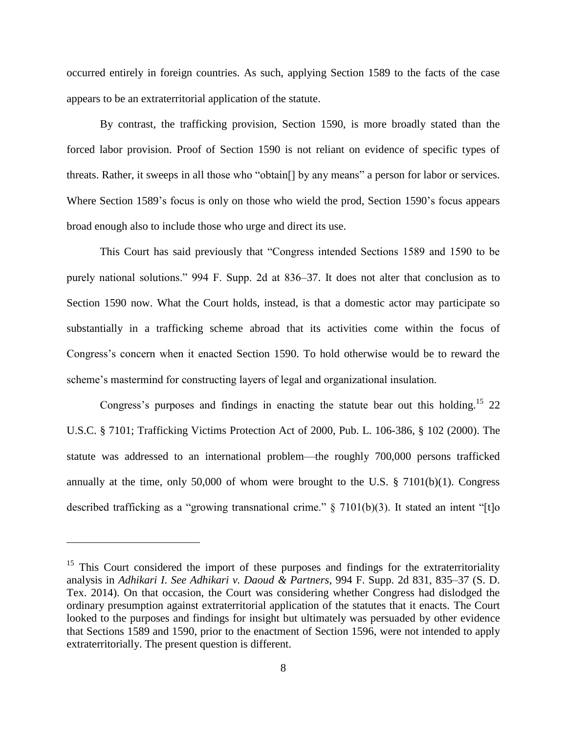occurred entirely in foreign countries. As such, applying Section 1589 to the facts of the case appears to be an extraterritorial application of the statute.

By contrast, the trafficking provision, Section 1590, is more broadly stated than the forced labor provision. Proof of Section 1590 is not reliant on evidence of specific types of threats. Rather, it sweeps in all those who "obtain[] by any means" a person for labor or services. Where Section 1589's focus is only on those who wield the prod, Section 1590's focus appears broad enough also to include those who urge and direct its use.

This Court has said previously that "Congress intended Sections 1589 and 1590 to be purely national solutions." 994 F. Supp. 2d at 836–37. It does not alter that conclusion as to Section 1590 now. What the Court holds, instead, is that a domestic actor may participate so substantially in a trafficking scheme abroad that its activities come within the focus of Congress's concern when it enacted Section 1590. To hold otherwise would be to reward the scheme's mastermind for constructing layers of legal and organizational insulation.

Congress's purposes and findings in enacting the statute bear out this holding.<sup>15</sup> 22 U.S.C. § 7101; Trafficking Victims Protection Act of 2000, Pub. L. 106-386, § 102 (2000). The statute was addressed to an international problem––the roughly 700,000 persons trafficked annually at the time, only 50,000 of whom were brought to the U.S. § 7101(b)(1). Congress described trafficking as a "growing transnational crime." § 7101(b)(3). It stated an intent "[t]o

<sup>&</sup>lt;sup>15</sup> This Court considered the import of these purposes and findings for the extraterritoriality analysis in *Adhikari I*. *See Adhikari v. Daoud & Partners*, 994 F. Supp. 2d 831, 835–37 (S. D. Tex. 2014). On that occasion, the Court was considering whether Congress had dislodged the ordinary presumption against extraterritorial application of the statutes that it enacts. The Court looked to the purposes and findings for insight but ultimately was persuaded by other evidence that Sections 1589 and 1590, prior to the enactment of Section 1596, were not intended to apply extraterritorially. The present question is different.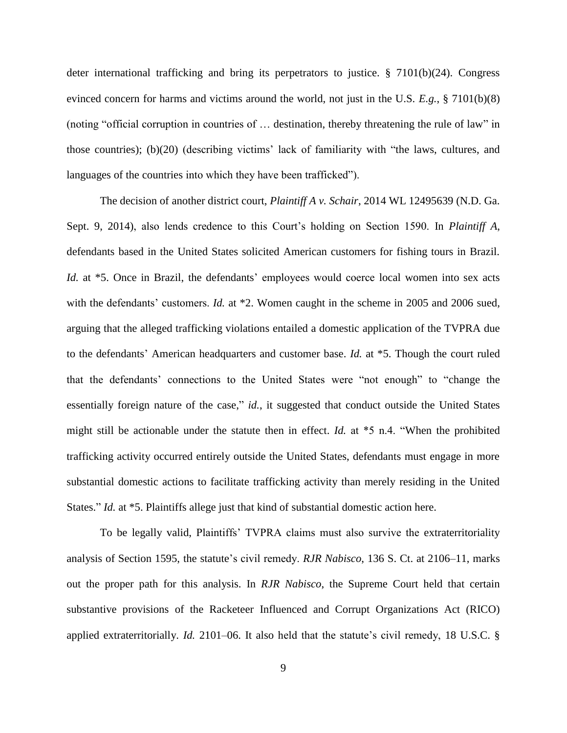deter international trafficking and bring its perpetrators to justice. § 7101(b)(24). Congress evinced concern for harms and victims around the world, not just in the U.S. *E.g.*, § 7101(b)(8) (noting "official corruption in countries of … destination, thereby threatening the rule of law" in those countries); (b)(20) (describing victims' lack of familiarity with "the laws, cultures, and languages of the countries into which they have been trafficked").

The decision of another district court, *Plaintiff A v. Schair*, 2014 WL 12495639 (N.D. Ga. Sept. 9, 2014), also lends credence to this Court's holding on Section 1590. In *Plaintiff A*, defendants based in the United States solicited American customers for fishing tours in Brazil. *Id.* at \*5. Once in Brazil, the defendants' employees would coerce local women into sex acts with the defendants' customers. *Id.* at \*2. Women caught in the scheme in 2005 and 2006 sued, arguing that the alleged trafficking violations entailed a domestic application of the TVPRA due to the defendants' American headquarters and customer base. *Id.* at \*5. Though the court ruled that the defendants' connections to the United States were "not enough" to "change the essentially foreign nature of the case," *id.*, it suggested that conduct outside the United States might still be actionable under the statute then in effect. *Id.* at \*5 n.4. "When the prohibited trafficking activity occurred entirely outside the United States, defendants must engage in more substantial domestic actions to facilitate trafficking activity than merely residing in the United States." *Id.* at \*5. Plaintiffs allege just that kind of substantial domestic action here.

To be legally valid, Plaintiffs' TVPRA claims must also survive the extraterritoriality analysis of Section 1595, the statute's civil remedy. *RJR Nabisco*, 136 S. Ct. at 2106–11, marks out the proper path for this analysis. In *RJR Nabisco*, the Supreme Court held that certain substantive provisions of the Racketeer Influenced and Corrupt Organizations Act (RICO) applied extraterritorially. *Id.* 2101–06. It also held that the statute's civil remedy, 18 U.S.C. §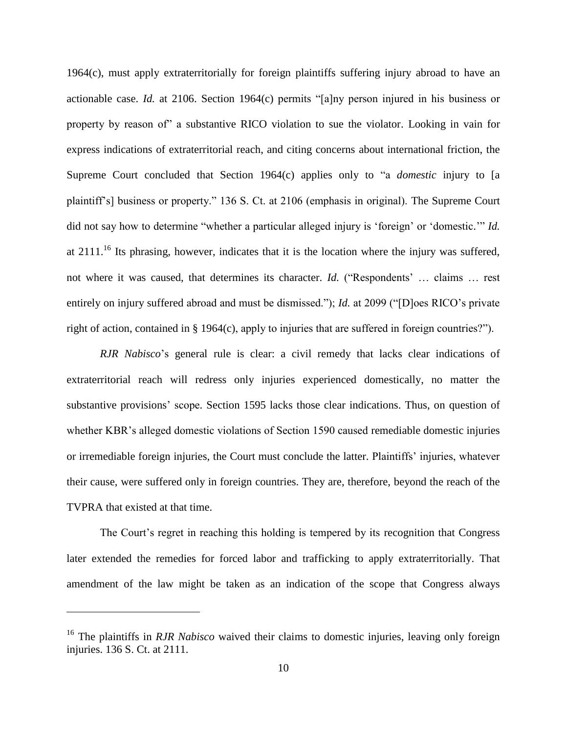1964(c), must apply extraterritorially for foreign plaintiffs suffering injury abroad to have an actionable case. *Id.* at 2106. Section 1964(c) permits "[a]ny person injured in his business or property by reason of" a substantive RICO violation to sue the violator. Looking in vain for express indications of extraterritorial reach, and citing concerns about international friction, the Supreme Court concluded that Section 1964(c) applies only to "a *domestic* injury to [a plaintiff's] business or property." 136 S. Ct. at 2106 (emphasis in original). The Supreme Court did not say how to determine "whether a particular alleged injury is 'foreign' or 'domestic.'" *Id.*  at  $2111$ .<sup>16</sup> Its phrasing, however, indicates that it is the location where the injury was suffered, not where it was caused, that determines its character. *Id.* ("Respondents' … claims … rest entirely on injury suffered abroad and must be dismissed."); *Id.* at 2099 ("[D]oes RICO's private right of action, contained in § 1964(c), apply to injuries that are suffered in foreign countries?").

*RJR Nabisco*'s general rule is clear: a civil remedy that lacks clear indications of extraterritorial reach will redress only injuries experienced domestically, no matter the substantive provisions' scope. Section 1595 lacks those clear indications. Thus, on question of whether KBR's alleged domestic violations of Section 1590 caused remediable domestic injuries or irremediable foreign injuries, the Court must conclude the latter. Plaintiffs' injuries, whatever their cause, were suffered only in foreign countries. They are, therefore, beyond the reach of the TVPRA that existed at that time.

The Court's regret in reaching this holding is tempered by its recognition that Congress later extended the remedies for forced labor and trafficking to apply extraterritorially. That amendment of the law might be taken as an indication of the scope that Congress always

<sup>&</sup>lt;sup>16</sup> The plaintiffs in *RJR Nabisco* waived their claims to domestic injuries, leaving only foreign injuries. 136 S. Ct. at 2111.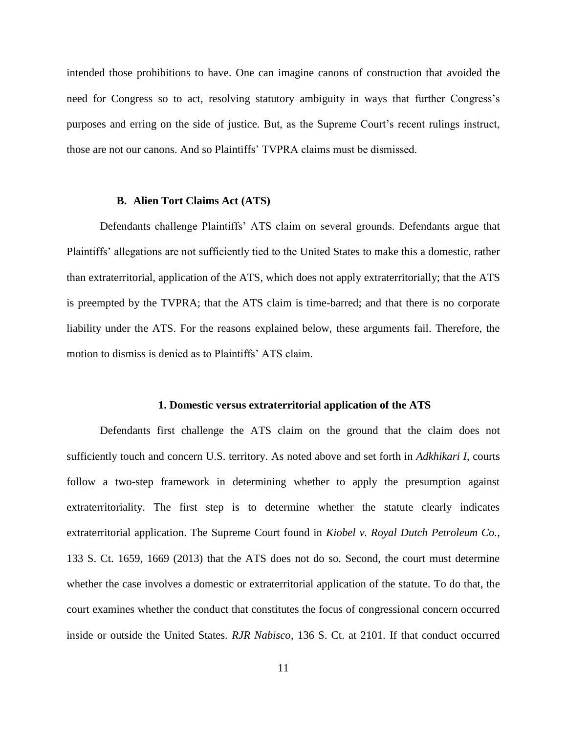intended those prohibitions to have. One can imagine canons of construction that avoided the need for Congress so to act, resolving statutory ambiguity in ways that further Congress's purposes and erring on the side of justice. But, as the Supreme Court's recent rulings instruct, those are not our canons. And so Plaintiffs' TVPRA claims must be dismissed.

## **B. Alien Tort Claims Act (ATS)**

Defendants challenge Plaintiffs' ATS claim on several grounds. Defendants argue that Plaintiffs' allegations are not sufficiently tied to the United States to make this a domestic, rather than extraterritorial, application of the ATS, which does not apply extraterritorially; that the ATS is preempted by the TVPRA; that the ATS claim is time-barred; and that there is no corporate liability under the ATS. For the reasons explained below, these arguments fail. Therefore, the motion to dismiss is denied as to Plaintiffs' ATS claim.

#### **1. Domestic versus extraterritorial application of the ATS**

Defendants first challenge the ATS claim on the ground that the claim does not sufficiently touch and concern U.S. territory. As noted above and set forth in *Adkhikari I*, courts follow a two-step framework in determining whether to apply the presumption against extraterritoriality. The first step is to determine whether the statute clearly indicates extraterritorial application. The Supreme Court found in *Kiobel v. Royal Dutch Petroleum Co.*, 133 S. Ct. 1659, 1669 (2013) that the ATS does not do so. Second, the court must determine whether the case involves a domestic or extraterritorial application of the statute. To do that, the court examines whether the conduct that constitutes the focus of congressional concern occurred inside or outside the United States. *RJR Nabisco*, 136 S. Ct. at 2101. If that conduct occurred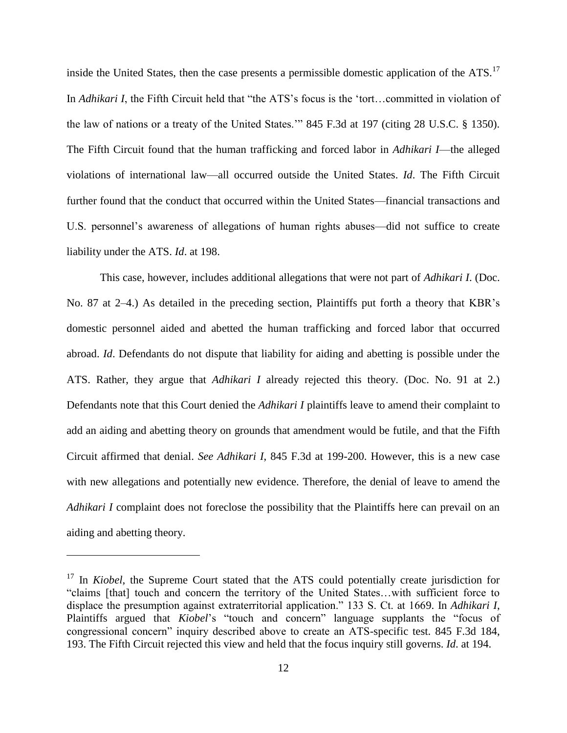inside the United States, then the case presents a permissible domestic application of the ATS.<sup>17</sup> In *Adhikari I*, the Fifth Circuit held that "the ATS's focus is the 'tort…committed in violation of the law of nations or a treaty of the United States.'" 845 F.3d at 197 (citing 28 U.S.C. § 1350). The Fifth Circuit found that the human trafficking and forced labor in *Adhikari I*—the alleged violations of international law—all occurred outside the United States. *Id*. The Fifth Circuit further found that the conduct that occurred within the United States—financial transactions and U.S. personnel's awareness of allegations of human rights abuses—did not suffice to create liability under the ATS. *Id*. at 198.

This case, however, includes additional allegations that were not part of *Adhikari I*. (Doc. No. 87 at 2–4.) As detailed in the preceding section, Plaintiffs put forth a theory that KBR's domestic personnel aided and abetted the human trafficking and forced labor that occurred abroad. *Id*. Defendants do not dispute that liability for aiding and abetting is possible under the ATS. Rather, they argue that *Adhikari I* already rejected this theory. (Doc. No. 91 at 2.) Defendants note that this Court denied the *Adhikari I* plaintiffs leave to amend their complaint to add an aiding and abetting theory on grounds that amendment would be futile, and that the Fifth Circuit affirmed that denial. *See Adhikari I*, 845 F.3d at 199-200. However, this is a new case with new allegations and potentially new evidence. Therefore, the denial of leave to amend the *Adhikari I* complaint does not foreclose the possibility that the Plaintiffs here can prevail on an aiding and abetting theory.

<sup>&</sup>lt;sup>17</sup> In *Kiobel*, the Supreme Court stated that the ATS could potentially create jurisdiction for "claims [that] touch and concern the territory of the United States…with sufficient force to displace the presumption against extraterritorial application." 133 S. Ct. at 1669. In *Adhikari I*, Plaintiffs argued that *Kiobel*'s "touch and concern" language supplants the "focus of congressional concern" inquiry described above to create an ATS-specific test. 845 F.3d 184, 193. The Fifth Circuit rejected this view and held that the focus inquiry still governs. *Id*. at 194.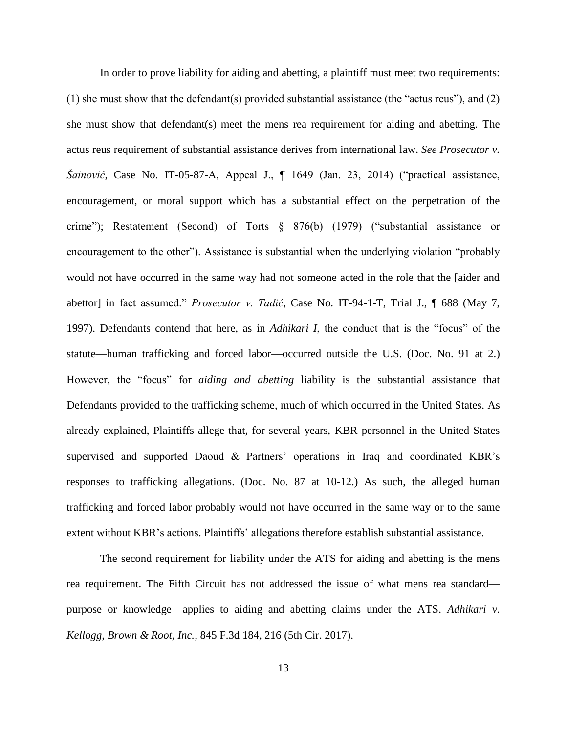In order to prove liability for aiding and abetting, a plaintiff must meet two requirements: (1) she must show that the defendant(s) provided substantial assistance (the "actus reus"), and (2) she must show that defendant(s) meet the mens rea requirement for aiding and abetting. The actus reus requirement of substantial assistance derives from international law. *See Prosecutor v. Šainović*, Case No. IT-05-87-A, Appeal J., ¶ 1649 (Jan. 23, 2014) ("practical assistance, encouragement, or moral support which has a substantial effect on the perpetration of the crime"); Restatement (Second) of Torts § 876(b) (1979) ("substantial assistance or encouragement to the other"). Assistance is substantial when the underlying violation "probably would not have occurred in the same way had not someone acted in the role that the [aider and abettor] in fact assumed." *Prosecutor v. Tadić*, Case No. IT-94-1-T, Trial J., ¶ 688 (May 7, 1997). Defendants contend that here, as in *Adhikari I*, the conduct that is the "focus" of the statute—human trafficking and forced labor—occurred outside the U.S. (Doc. No. 91 at 2.) However, the "focus" for *aiding and abetting* liability is the substantial assistance that Defendants provided to the trafficking scheme, much of which occurred in the United States. As already explained, Plaintiffs allege that, for several years, KBR personnel in the United States supervised and supported Daoud & Partners' operations in Iraq and coordinated KBR's responses to trafficking allegations. (Doc. No. 87 at 10-12.) As such, the alleged human trafficking and forced labor probably would not have occurred in the same way or to the same extent without KBR's actions. Plaintiffs' allegations therefore establish substantial assistance.

The second requirement for liability under the ATS for aiding and abetting is the mens rea requirement. The Fifth Circuit has not addressed the issue of what mens rea standard purpose or knowledge—applies to aiding and abetting claims under the ATS. *Adhikari v. Kellogg, Brown & Root, Inc.*, 845 F.3d 184, 216 (5th Cir. 2017).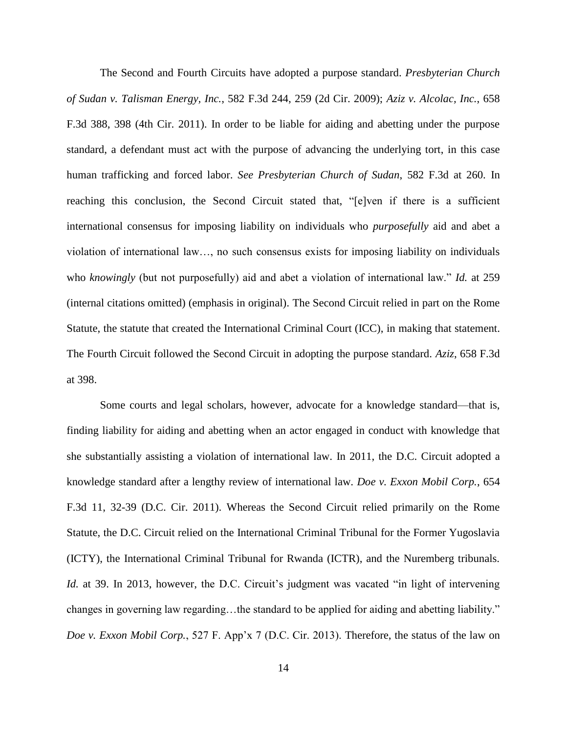The Second and Fourth Circuits have adopted a purpose standard. *Presbyterian Church of Sudan v. Talisman Energy, Inc.*, 582 F.3d 244, 259 (2d Cir. 2009); *Aziz v. Alcolac, Inc.*, 658 F.3d 388, 398 (4th Cir. 2011). In order to be liable for aiding and abetting under the purpose standard, a defendant must act with the purpose of advancing the underlying tort, in this case human trafficking and forced labor. *See Presbyterian Church of Sudan*, 582 F.3d at 260. In reaching this conclusion, the Second Circuit stated that, "[e]ven if there is a sufficient international consensus for imposing liability on individuals who *purposefully* aid and abet a violation of international law…, no such consensus exists for imposing liability on individuals who *knowingly* (but not purposefully) aid and abet a violation of international law." *Id.* at 259 (internal citations omitted) (emphasis in original). The Second Circuit relied in part on the Rome Statute, the statute that created the International Criminal Court (ICC), in making that statement. The Fourth Circuit followed the Second Circuit in adopting the purpose standard. *Aziz*, 658 F.3d at 398.

Some courts and legal scholars, however, advocate for a knowledge standard—that is, finding liability for aiding and abetting when an actor engaged in conduct with knowledge that she substantially assisting a violation of international law. In 2011, the D.C. Circuit adopted a knowledge standard after a lengthy review of international law. *Doe v. Exxon Mobil Corp.*, 654 F.3d 11, 32-39 (D.C. Cir. 2011). Whereas the Second Circuit relied primarily on the Rome Statute, the D.C. Circuit relied on the International Criminal Tribunal for the Former Yugoslavia (ICTY), the International Criminal Tribunal for Rwanda (ICTR), and the Nuremberg tribunals. *Id.* at 39. In 2013, however, the D.C. Circuit's judgment was vacated "in light of intervening changes in governing law regarding…the standard to be applied for aiding and abetting liability." *Doe v. Exxon Mobil Corp.*, 527 F. App'x 7 (D.C. Cir. 2013). Therefore, the status of the law on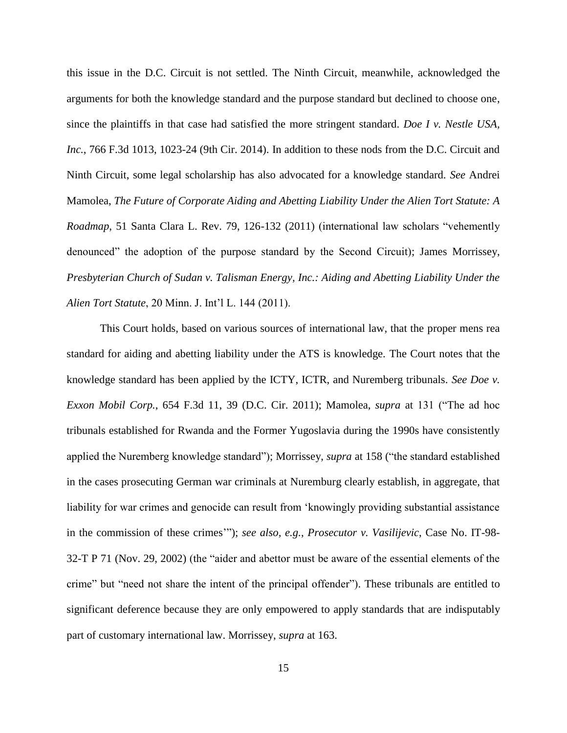this issue in the D.C. Circuit is not settled. The Ninth Circuit, meanwhile, acknowledged the arguments for both the knowledge standard and the purpose standard but declined to choose one, since the plaintiffs in that case had satisfied the more stringent standard. *Doe I v. Nestle USA, Inc.*, 766 F.3d 1013, 1023-24 (9th Cir. 2014). In addition to these nods from the D.C. Circuit and Ninth Circuit, some legal scholarship has also advocated for a knowledge standard. *See* Andrei Mamolea, *The Future of Corporate Aiding and Abetting Liability Under the Alien Tort Statute: A Roadmap*, 51 Santa Clara L. Rev. 79, 126-132 (2011) (international law scholars "vehemently denounced" the adoption of the purpose standard by the Second Circuit); James Morrissey, *Presbyterian Church of Sudan v. Talisman Energy, Inc.: Aiding and Abetting Liability Under the Alien Tort Statute*, 20 Minn. J. Int'l L. 144 (2011).

This Court holds, based on various sources of international law, that the proper mens rea standard for aiding and abetting liability under the ATS is knowledge. The Court notes that the knowledge standard has been applied by the ICTY, ICTR, and Nuremberg tribunals. *See Doe v. Exxon Mobil Corp.*, 654 F.3d 11, 39 (D.C. Cir. 2011); Mamolea, *supra* at 131 ("The ad hoc tribunals established for Rwanda and the Former Yugoslavia during the 1990s have consistently applied the Nuremberg knowledge standard"); Morrissey, *supra* at 158 ("the standard established in the cases prosecuting German war criminals at Nuremburg clearly establish, in aggregate, that liability for war crimes and genocide can result from 'knowingly providing substantial assistance in the commission of these crimes'"); *see also, e.g.*, *Prosecutor v. Vasilijevic*, Case No. IT-98- 32-T P 71 (Nov. 29, 2002) (the "aider and abettor must be aware of the essential elements of the crime" but "need not share the intent of the principal offender"). These tribunals are entitled to significant deference because they are only empowered to apply standards that are indisputably part of customary international law. Morrissey, *supra* at 163.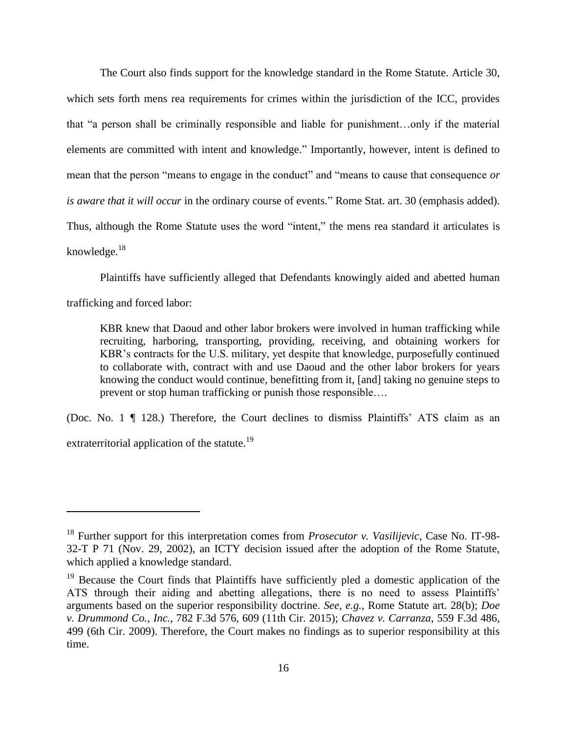The Court also finds support for the knowledge standard in the Rome Statute. Article 30, which sets forth mens rea requirements for crimes within the jurisdiction of the ICC, provides that "a person shall be criminally responsible and liable for punishment…only if the material elements are committed with intent and knowledge." Importantly, however, intent is defined to mean that the person "means to engage in the conduct" and "means to cause that consequence *or is aware that it will occur* in the ordinary course of events." Rome Stat. art. 30 (emphasis added). Thus, although the Rome Statute uses the word "intent," the mens rea standard it articulates is knowledge. $18$ 

Plaintiffs have sufficiently alleged that Defendants knowingly aided and abetted human

trafficking and forced labor:

 $\overline{a}$ 

KBR knew that Daoud and other labor brokers were involved in human trafficking while recruiting, harboring, transporting, providing, receiving, and obtaining workers for KBR's contracts for the U.S. military, yet despite that knowledge, purposefully continued to collaborate with, contract with and use Daoud and the other labor brokers for years knowing the conduct would continue, benefitting from it, [and] taking no genuine steps to prevent or stop human trafficking or punish those responsible….

(Doc. No. 1 ¶ 128.) Therefore, the Court declines to dismiss Plaintiffs' ATS claim as an extraterritorial application of the statute.<sup>19</sup>

<sup>18</sup> Further support for this interpretation comes from *Prosecutor v. Vasilijevic*, Case No. IT-98- 32-T P 71 (Nov. 29, 2002), an ICTY decision issued after the adoption of the Rome Statute, which applied a knowledge standard.

<sup>&</sup>lt;sup>19</sup> Because the Court finds that Plaintiffs have sufficiently pled a domestic application of the ATS through their aiding and abetting allegations, there is no need to assess Plaintiffs' arguments based on the superior responsibility doctrine. *See, e.g.*, Rome Statute art. 28(b); *Doe v. Drummond Co., Inc.*, 782 F.3d 576, 609 (11th Cir. 2015); *Chavez v. Carranza*, 559 F.3d 486, 499 (6th Cir. 2009). Therefore, the Court makes no findings as to superior responsibility at this time.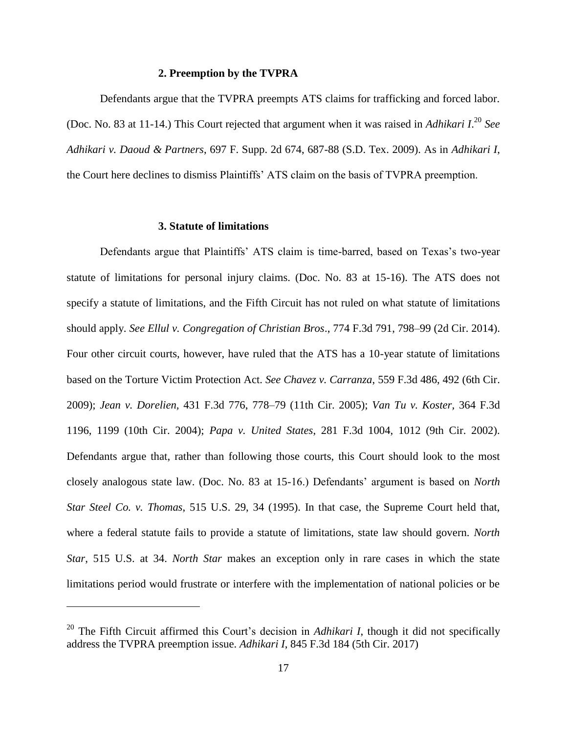#### **2. Preemption by the TVPRA**

Defendants argue that the TVPRA preempts ATS claims for trafficking and forced labor. (Doc. No. 83 at 11-14.) This Court rejected that argument when it was raised in *Adhikari I*. <sup>20</sup> *See Adhikari v. Daoud & Partners*, 697 F. Supp. 2d 674, 687-88 (S.D. Tex. 2009). As in *Adhikari I*, the Court here declines to dismiss Plaintiffs' ATS claim on the basis of TVPRA preemption.

## **3. Statute of limitations**

 $\overline{a}$ 

Defendants argue that Plaintiffs' ATS claim is time-barred, based on Texas's two-year statute of limitations for personal injury claims. (Doc. No. 83 at 15-16). The ATS does not specify a statute of limitations, and the Fifth Circuit has not ruled on what statute of limitations should apply. *See Ellul v. Congregation of Christian Bros*., 774 F.3d 791, 798–99 (2d Cir. 2014). Four other circuit courts, however, have ruled that the ATS has a 10-year statute of limitations based on the Torture Victim Protection Act. *See Chavez v. Carranza*, 559 F.3d 486, 492 (6th Cir. 2009); *Jean v. Dorelien,* 431 F.3d 776, 778–79 (11th Cir. 2005); *Van Tu v. Koster,* 364 F.3d 1196, 1199 (10th Cir. 2004); *Papa v. United States*, 281 F.3d 1004, 1012 (9th Cir. 2002). Defendants argue that, rather than following those courts, this Court should look to the most closely analogous state law. (Doc. No. 83 at 15-16.) Defendants' argument is based on *North Star Steel Co. v. Thomas*, 515 U.S. 29, 34 (1995). In that case, the Supreme Court held that, where a federal statute fails to provide a statute of limitations, state law should govern. *North Star*, 515 U.S. at 34. *North Star* makes an exception only in rare cases in which the state limitations period would frustrate or interfere with the implementation of national policies or be

<sup>&</sup>lt;sup>20</sup> The Fifth Circuit affirmed this Court's decision in *Adhikari I*, though it did not specifically address the TVPRA preemption issue. *Adhikari I*, 845 F.3d 184 (5th Cir. 2017)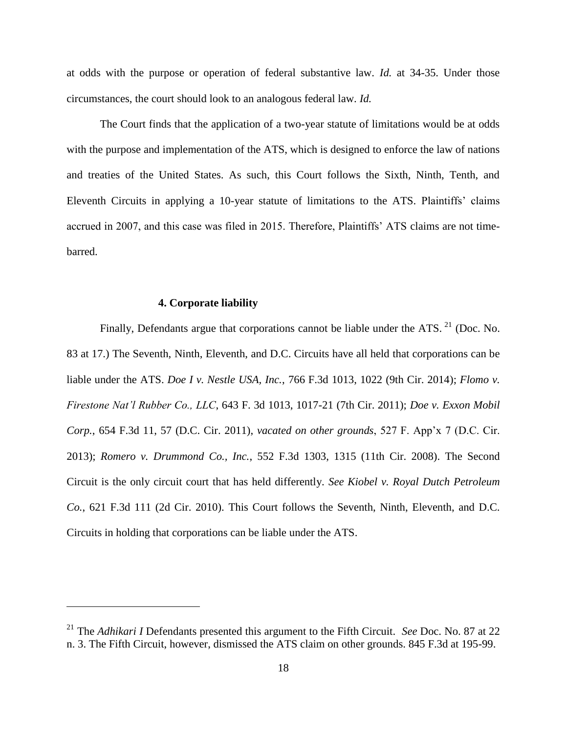at odds with the purpose or operation of federal substantive law. *Id.* at 34-35. Under those circumstances, the court should look to an analogous federal law. *Id.*

The Court finds that the application of a two-year statute of limitations would be at odds with the purpose and implementation of the ATS, which is designed to enforce the law of nations and treaties of the United States. As such, this Court follows the Sixth, Ninth, Tenth, and Eleventh Circuits in applying a 10-year statute of limitations to the ATS. Plaintiffs' claims accrued in 2007, and this case was filed in 2015. Therefore, Plaintiffs' ATS claims are not timebarred.

#### **4. Corporate liability**

 $\overline{a}$ 

Finally, Defendants argue that corporations cannot be liable under the ATS.  $^{21}$  (Doc. No. 83 at 17.) The Seventh, Ninth, Eleventh, and D.C. Circuits have all held that corporations can be liable under the ATS. *Doe I v. Nestle USA, Inc.*, 766 F.3d 1013, 1022 (9th Cir. 2014); *Flomo v. Firestone Nat'l Rubber Co., LLC*, 643 F. 3d 1013, 1017-21 (7th Cir. 2011); *Doe v. Exxon Mobil Corp.*, 654 F.3d 11, 57 (D.C. Cir. 2011), *vacated on other grounds*, 527 F. App'x 7 (D.C. Cir. 2013); *Romero v. Drummond Co., Inc.*, 552 F.3d 1303, 1315 (11th Cir. 2008). The Second Circuit is the only circuit court that has held differently. *See Kiobel v. Royal Dutch Petroleum Co.*, 621 F.3d 111 (2d Cir. 2010). This Court follows the Seventh, Ninth, Eleventh, and D.C. Circuits in holding that corporations can be liable under the ATS.

<sup>21</sup> The *Adhikari I* Defendants presented this argument to the Fifth Circuit. *See* Doc. No. 87 at 22 n. 3. The Fifth Circuit, however, dismissed the ATS claim on other grounds. 845 F.3d at 195-99.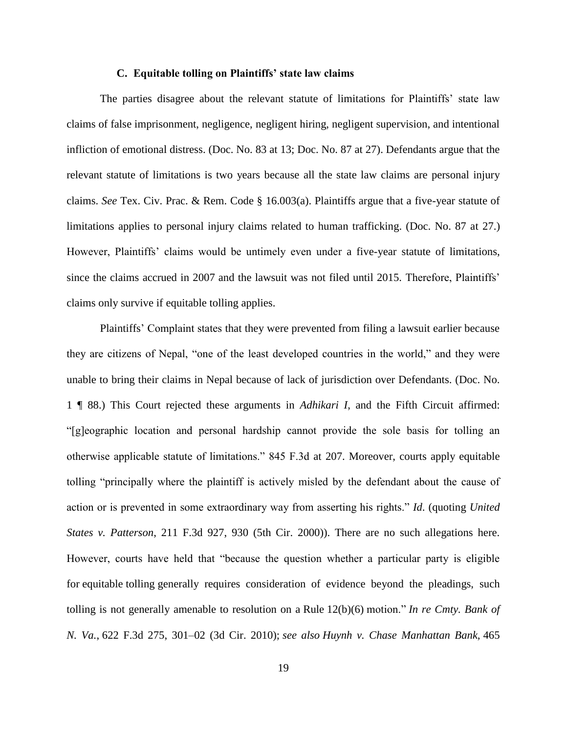#### **C. Equitable tolling on Plaintiffs' state law claims**

The parties disagree about the relevant statute of limitations for Plaintiffs' state law claims of false imprisonment, negligence, negligent hiring, negligent supervision, and intentional infliction of emotional distress. (Doc. No. 83 at 13; Doc. No. 87 at 27). Defendants argue that the relevant statute of limitations is two years because all the state law claims are personal injury claims. *See* Tex. Civ. Prac. & Rem. Code § 16.003(a). Plaintiffs argue that a five-year statute of limitations applies to personal injury claims related to human trafficking. (Doc. No. 87 at 27.) However, Plaintiffs' claims would be untimely even under a five-year statute of limitations, since the claims accrued in 2007 and the lawsuit was not filed until 2015. Therefore, Plaintiffs' claims only survive if equitable tolling applies.

Plaintiffs' Complaint states that they were prevented from filing a lawsuit earlier because they are citizens of Nepal, "one of the least developed countries in the world," and they were unable to bring their claims in Nepal because of lack of jurisdiction over Defendants. (Doc. No. 1 ¶ 88.) This Court rejected these arguments in *Adhikari I*, and the Fifth Circuit affirmed: "[g]eographic location and personal hardship cannot provide the sole basis for tolling an otherwise applicable statute of limitations." 845 F.3d at 207. Moreover, courts apply equitable tolling "principally where the plaintiff is actively misled by the defendant about the cause of action or is prevented in some extraordinary way from asserting his rights." *Id*. (quoting *United States v. Patterson*, 211 F.3d 927, 930 (5th Cir. 2000)). There are no such allegations here. However, courts have held that "because the question whether a particular party is eligible for equitable tolling generally requires consideration of evidence beyond the pleadings, such tolling is not generally amenable to resolution on a Rule 12(b)(6) motion." *In re Cmty. Bank of N. Va.*, 622 F.3d 275, 301–02 (3d Cir. 2010); *see also Huynh v. Chase Manhattan Bank,* 465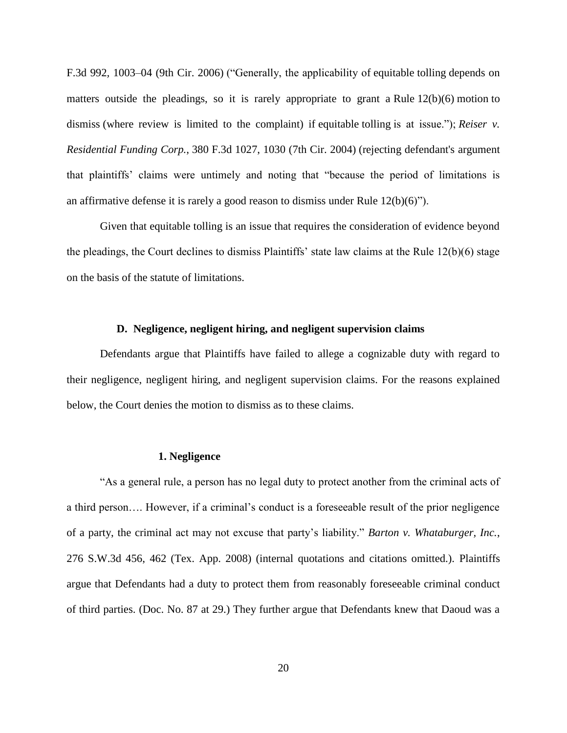F.3d 992*,* 1003–04 (9th Cir. 2006) ("Generally, the applicability of equitable tolling depends on matters outside the pleadings, so it is rarely appropriate to grant a Rule 12(b)(6) motion to dismiss (where review is limited to the complaint) if equitable tolling is at issue."); *Reiser v. Residential Funding Corp.*, 380 F.3d 1027, 1030 (7th Cir. 2004) (rejecting defendant's argument that plaintiffs' claims were untimely and noting that "because the period of limitations is an affirmative defense it is rarely a good reason to dismiss under Rule  $12(b)(6)$ ").

Given that equitable tolling is an issue that requires the consideration of evidence beyond the pleadings, the Court declines to dismiss Plaintiffs' state law claims at the Rule 12(b)(6) stage on the basis of the statute of limitations.

## **D. Negligence, negligent hiring, and negligent supervision claims**

Defendants argue that Plaintiffs have failed to allege a cognizable duty with regard to their negligence, negligent hiring, and negligent supervision claims. For the reasons explained below, the Court denies the motion to dismiss as to these claims.

#### **1. Negligence**

"As a general rule, a person has no legal duty to protect another from the criminal acts of a third person…. However, if a criminal's conduct is a foreseeable result of the prior negligence of a party, the criminal act may not excuse that party's liability." *Barton v. Whataburger, Inc.*, 276 S.W.3d 456, 462 (Tex. App. 2008) (internal quotations and citations omitted.). Plaintiffs argue that Defendants had a duty to protect them from reasonably foreseeable criminal conduct of third parties. (Doc. No. 87 at 29.) They further argue that Defendants knew that Daoud was a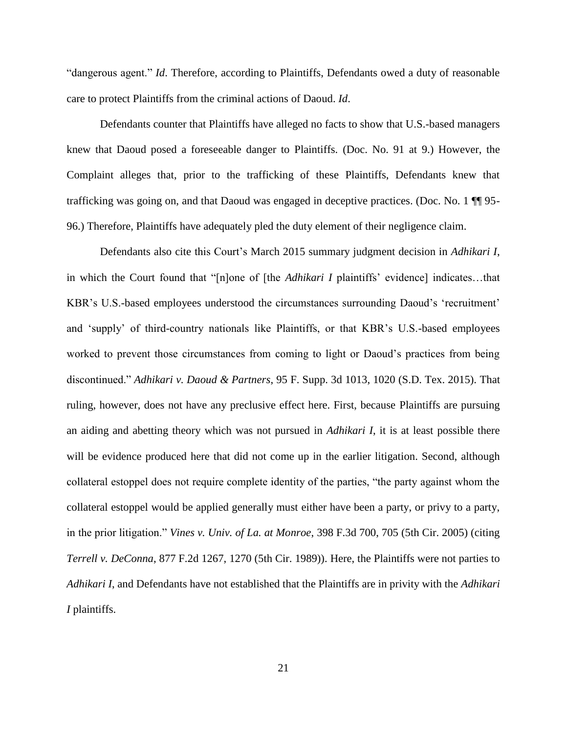"dangerous agent." *Id*. Therefore, according to Plaintiffs, Defendants owed a duty of reasonable care to protect Plaintiffs from the criminal actions of Daoud. *Id*.

Defendants counter that Plaintiffs have alleged no facts to show that U.S.-based managers knew that Daoud posed a foreseeable danger to Plaintiffs. (Doc. No. 91 at 9.) However, the Complaint alleges that, prior to the trafficking of these Plaintiffs, Defendants knew that trafficking was going on, and that Daoud was engaged in deceptive practices. (Doc. No. 1 ¶¶ 95- 96.) Therefore, Plaintiffs have adequately pled the duty element of their negligence claim.

Defendants also cite this Court's March 2015 summary judgment decision in *Adhikari I*, in which the Court found that "[n]one of [the *Adhikari I* plaintiffs' evidence] indicates…that KBR's U.S.-based employees understood the circumstances surrounding Daoud's 'recruitment' and 'supply' of third-country nationals like Plaintiffs, or that KBR's U.S.-based employees worked to prevent those circumstances from coming to light or Daoud's practices from being discontinued." *Adhikari v. Daoud & Partners*, 95 F. Supp. 3d 1013, 1020 (S.D. Tex. 2015). That ruling, however, does not have any preclusive effect here. First, because Plaintiffs are pursuing an aiding and abetting theory which was not pursued in *Adhikari I*, it is at least possible there will be evidence produced here that did not come up in the earlier litigation. Second, although collateral estoppel does not require complete identity of the parties, "the party against whom the collateral estoppel would be applied generally must either have been a party, or privy to a party, in the prior litigation." *Vines v. Univ. of La. at Monroe*, 398 F.3d 700, 705 (5th Cir. 2005) (citing *Terrell v. DeConna*, 877 F.2d 1267, 1270 (5th Cir. 1989)). Here, the Plaintiffs were not parties to *Adhikari I*, and Defendants have not established that the Plaintiffs are in privity with the *Adhikari I* plaintiffs.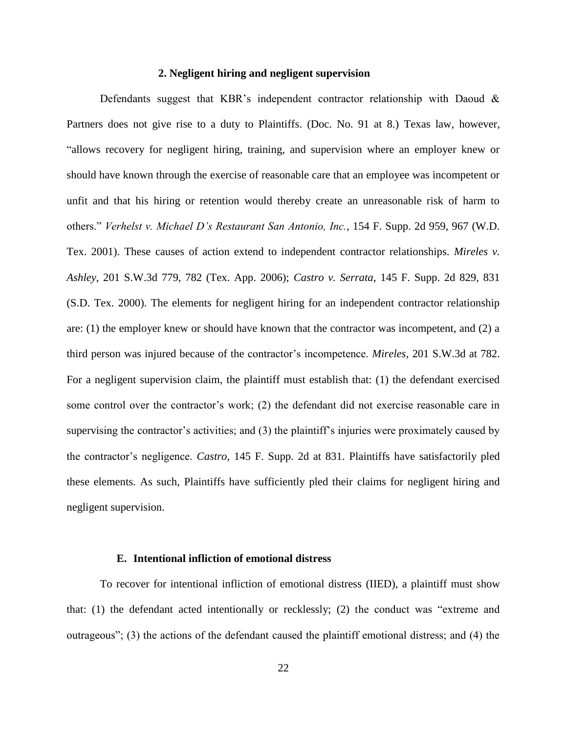## **2. Negligent hiring and negligent supervision**

Defendants suggest that KBR's independent contractor relationship with Daoud & Partners does not give rise to a duty to Plaintiffs. (Doc. No. 91 at 8.) Texas law, however, "allows recovery for negligent hiring, training, and supervision where an employer knew or should have known through the exercise of reasonable care that an employee was incompetent or unfit and that his hiring or retention would thereby create an unreasonable risk of harm to others." *Verhelst v. Michael D's Restaurant San Antonio, Inc.*, 154 F. Supp. 2d 959, 967 (W.D. Tex. 2001). These causes of action extend to independent contractor relationships. *Mireles v. Ashley*, 201 S.W.3d 779, 782 (Tex. App. 2006); *Castro v. Serrata*, 145 F. Supp. 2d 829, 831 (S.D. Tex. 2000). The elements for negligent hiring for an independent contractor relationship are: (1) the employer knew or should have known that the contractor was incompetent, and (2) a third person was injured because of the contractor's incompetence. *Mireles*, 201 S.W.3d at 782. For a negligent supervision claim, the plaintiff must establish that: (1) the defendant exercised some control over the contractor's work; (2) the defendant did not exercise reasonable care in supervising the contractor's activities; and (3) the plaintiff's injuries were proximately caused by the contractor's negligence. *Castro*, 145 F. Supp. 2d at 831. Plaintiffs have satisfactorily pled these elements. As such, Plaintiffs have sufficiently pled their claims for negligent hiring and negligent supervision.

#### **E. Intentional infliction of emotional distress**

To recover for intentional infliction of emotional distress (IIED), a plaintiff must show that: (1) the defendant acted intentionally or recklessly; (2) the conduct was "extreme and outrageous"; (3) the actions of the defendant caused the plaintiff emotional distress; and (4) the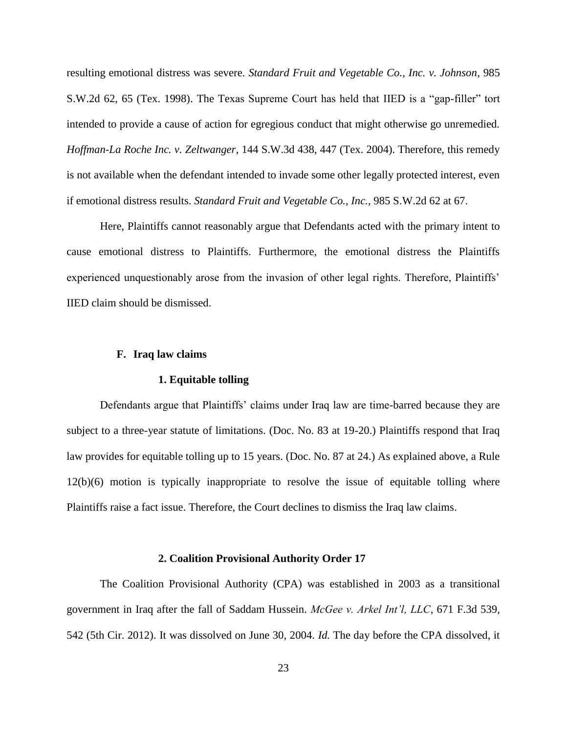resulting emotional distress was severe. *Standard Fruit and Vegetable Co., Inc. v. Johnson*, 985 S.W.2d 62, 65 (Tex. 1998). The Texas Supreme Court has held that IIED is a "gap-filler" tort intended to provide a cause of action for egregious conduct that might otherwise go unremedied. *Hoffman-La Roche Inc. v. Zeltwanger*, 144 S.W.3d 438, 447 (Tex. 2004). Therefore, this remedy is not available when the defendant intended to invade some other legally protected interest, even if emotional distress results. *Standard Fruit and Vegetable Co., Inc.*, 985 S.W.2d 62 at 67.

Here, Plaintiffs cannot reasonably argue that Defendants acted with the primary intent to cause emotional distress to Plaintiffs. Furthermore, the emotional distress the Plaintiffs experienced unquestionably arose from the invasion of other legal rights. Therefore, Plaintiffs' IIED claim should be dismissed.

#### **F. Iraq law claims**

#### **1. Equitable tolling**

Defendants argue that Plaintiffs' claims under Iraq law are time-barred because they are subject to a three-year statute of limitations. (Doc. No. 83 at 19-20.) Plaintiffs respond that Iraq law provides for equitable tolling up to 15 years. (Doc. No. 87 at 24.) As explained above, a Rule 12(b)(6) motion is typically inappropriate to resolve the issue of equitable tolling where Plaintiffs raise a fact issue. Therefore, the Court declines to dismiss the Iraq law claims.

#### **2. Coalition Provisional Authority Order 17**

The Coalition Provisional Authority (CPA) was established in 2003 as a transitional government in Iraq after the fall of Saddam Hussein. *McGee v. Arkel Int'l, LLC*, 671 F.3d 539, 542 (5th Cir. 2012). It was dissolved on June 30, 2004. *Id.* The day before the CPA dissolved, it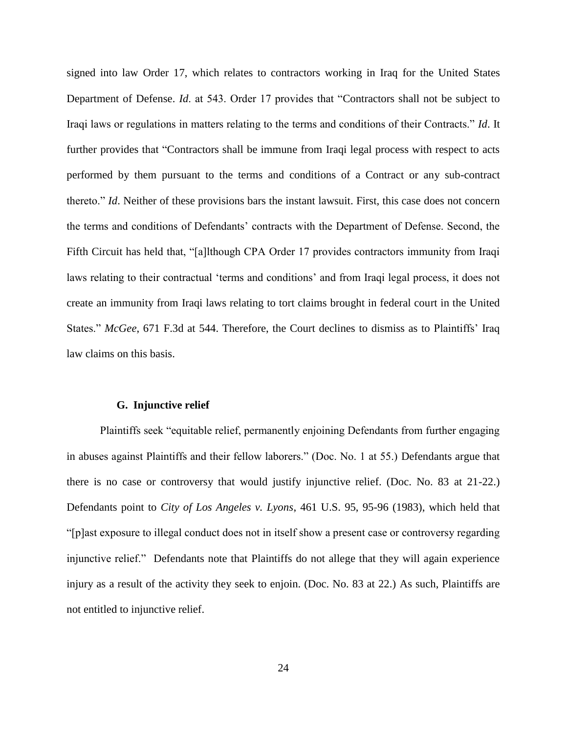signed into law Order 17, which relates to contractors working in Iraq for the United States Department of Defense. *Id*. at 543. Order 17 provides that "Contractors shall not be subject to Iraqi laws or regulations in matters relating to the terms and conditions of their Contracts." *Id*. It further provides that "Contractors shall be immune from Iraqi legal process with respect to acts performed by them pursuant to the terms and conditions of a Contract or any sub-contract thereto." *Id*. Neither of these provisions bars the instant lawsuit. First, this case does not concern the terms and conditions of Defendants' contracts with the Department of Defense. Second, the Fifth Circuit has held that, "[a]lthough CPA Order 17 provides contractors immunity from Iraqi laws relating to their contractual 'terms and conditions' and from Iraqi legal process, it does not create an immunity from Iraqi laws relating to tort claims brought in federal court in the United States." *McGee*, 671 F.3d at 544. Therefore, the Court declines to dismiss as to Plaintiffs' Iraq law claims on this basis.

#### **G. Injunctive relief**

Plaintiffs seek "equitable relief, permanently enjoining Defendants from further engaging in abuses against Plaintiffs and their fellow laborers." (Doc. No. 1 at 55.) Defendants argue that there is no case or controversy that would justify injunctive relief. (Doc. No. 83 at 21-22.) Defendants point to *City of Los Angeles v. Lyons*, 461 U.S. 95, 95-96 (1983), which held that "[p]ast exposure to illegal conduct does not in itself show a present case or controversy regarding injunctive relief." Defendants note that Plaintiffs do not allege that they will again experience injury as a result of the activity they seek to enjoin. (Doc. No. 83 at 22.) As such, Plaintiffs are not entitled to injunctive relief.